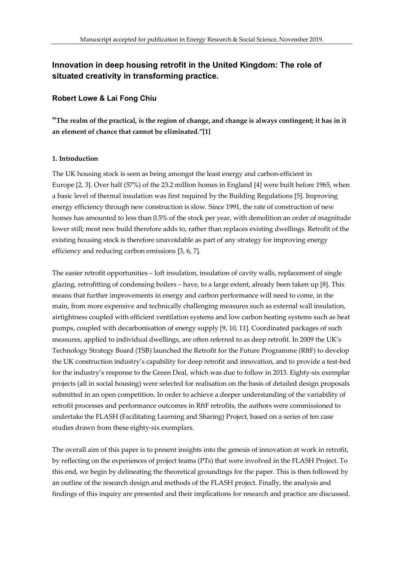# **Innovation in deep housing retrofit in the United Kingdom: The role of situated creativity in transforming practice.**

### **Robert Lowe & Lai Fong Chiu**

**"The realm of the practical, is the region of change, and change is always contingent; it has in it an element of chance that cannot be eliminated."[1]**

### **1. Introduction**

The UK housing stock is seen as being amongst the least energy and carbon-efficient in Europe [2, 3]. Over half (57%) of the 23.2 million homes in England [4] were built before 1965, when a basic level of thermal insulation was first required by the Building Regulations [5]. Improving energy efficiency through new construction is slow. Since 1991, the rate of construction of new homes has amounted to less than 0.5% of the stock per year, with demolition an order of magnitude lower still; most new build therefore adds to, rather than replaces existing dwellings. Retrofit of the existing housing stock is therefore unavoidable as part of any strategy for improving energy efficiency and reducing carbon emissions [3, 6, 7].

The easier retrofit opportunities – loft insulation, insulation of cavity walls, replacement of single glazing, retrofitting of condensing boilers – have, to a large extent, already been taken up [8]. This means that further improvements in energy and carbon performance will need to come, in the main, from more expensive and technically challenging measures such as external wall insulation, airtightness coupled with efficient ventilation systems and low carbon heating systems such as heat pumps, coupled with decarbonisation of energy supply [9, 10, 11]. Coordinated packages of such measures, applied to individual dwellings, are often referred to as deep retrofit. In 2009 the UK's Technology Strategy Board (TSB) launched the Retrofit for the Future Programme (RftF) to develop the UK construction industry's capability for deep retrofit and innovation, and to provide a test-bed for the industry's response to the Green Deal, which was due to follow in 2013. Eighty-six exemplar projects (all in social housing) were selected for realisation on the basis of detailed design proposals submitted in an open competition. In order to achieve a deeper understanding of the variability of retrofit processes and performance outcomes in RftF retrofits, the authors were commissioned to undertake the FLASH (Facilitating Learning and Sharing) Project, based on a series of ten case studies drawn from these eighty-six exemplars.

The overall aim of this paper is to present insights into the genesis of innovation at work in retrofit, by reflecting on the experiences of project teams (PTs) that were involved in the FLASH Project. To this end, we begin by delineating the theoretical groundings for the paper. This is then followed by an outline of the research design and methods of the FLASH project. Finally, the analysis and findings of this inquiry are presented and their implications for research and practice are discussed.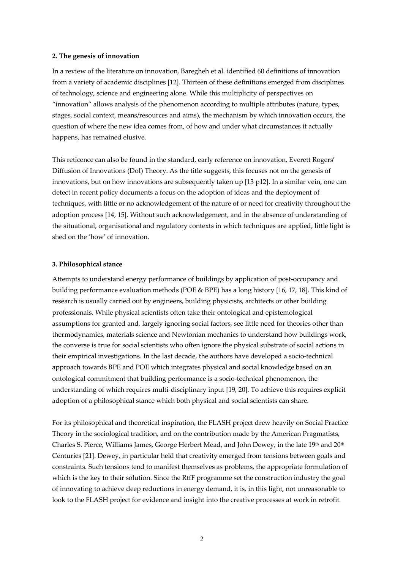### **2. The genesis of innovation**

In a review of the literature on innovation, Baregheh et al. identified 60 definitions of innovation from a variety of academic disciplines [12]. Thirteen of these definitions emerged from disciplines of technology, science and engineering alone. While this multiplicity of perspectives on "innovation" allows analysis of the phenomenon according to multiple attributes (nature, types, stages, social context, means/resources and aims), the mechanism by which innovation occurs, the question of where the new idea comes from, of how and under what circumstances it actually happens, has remained elusive.

This reticence can also be found in the standard, early reference on innovation, Everett Rogers' Diffusion of Innovations (DoI) Theory. As the title suggests, this focuses not on the genesis of innovations, but on how innovations are subsequently taken up [13 p12]. In a similar vein, one can detect in recent policy documents a focus on the adoption of ideas and the deployment of techniques, with little or no acknowledgement of the nature of or need for creativity throughout the adoption process [14, 15]. Without such acknowledgement, and in the absence of understanding of the situational, organisational and regulatory contexts in which techniques are applied, little light is shed on the 'how' of innovation.

### **3. Philosophical stance**

Attempts to understand energy performance of buildings by application of post-occupancy and building performance evaluation methods (POE & BPE) has a long history [16, 17, 18]. This kind of research is usually carried out by engineers, building physicists, architects or other building professionals. While physical scientists often take their ontological and epistemological assumptions for granted and, largely ignoring social factors, see little need for theories other than thermodynamics, materials science and Newtonian mechanics to understand how buildings work, the converse is true for social scientists who often ignore the physical substrate of social actions in their empirical investigations. In the last decade, the authors have developed a socio-technical approach towards BPE and POE which integrates physical and social knowledge based on an ontological commitment that building performance is a socio-technical phenomenon, the understanding of which requires multi-disciplinary input [19, 20]. To achieve this requires explicit adoption of a philosophical stance which both physical and social scientists can share.

For its philosophical and theoretical inspiration, the FLASH project drew heavily on Social Practice Theory in the sociological tradition, and on the contribution made by the American Pragmatists, Charles S. Pierce, Williams James, George Herbert Mead, and John Dewey, in the late 19th and 20th Centuries [21]. Dewey, in particular held that creativity emerged from tensions between goals and constraints. Such tensions tend to manifest themselves as problems, the appropriate formulation of which is the key to their solution. Since the RtfF programme set the construction industry the goal of innovating to achieve deep reductions in energy demand, it is, in this light, not unreasonable to look to the FLASH project for evidence and insight into the creative processes at work in retrofit.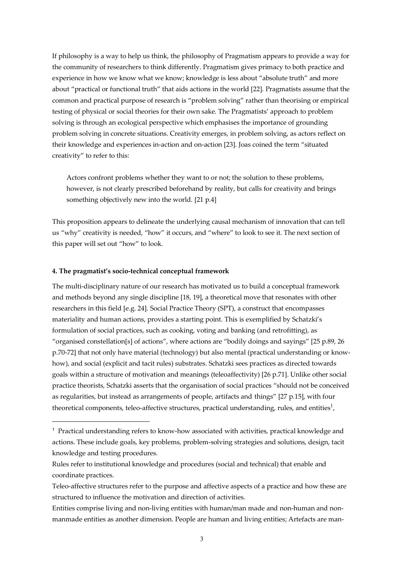If philosophy is a way to help us think, the philosophy of Pragmatism appears to provide a way for the community of researchers to think differently. Pragmatism gives primacy to both practice and experience in how we know what we know; knowledge is less about "absolute truth" and more about "practical or functional truth" that aids actions in the world [22]. Pragmatists assume that the common and practical purpose of research is "problem solving" rather than theorising or empirical testing of physical or social theories for their own sake. The Pragmatists' approach to problem solving is through an ecological perspective which emphasises the importance of grounding problem solving in concrete situations. Creativity emerges, in problem solving, as actors reflect on their knowledge and experiences in-action and on-action [23]. Joas coined the term "situated creativity" to refer to this:

Actors confront problems whether they want to or not; the solution to these problems, however, is not clearly prescribed beforehand by reality, but calls for creativity and brings something objectively new into the world. [21 p.4]

This proposition appears to delineate the underlying causal mechanism of innovation that can tell us "why" creativity is needed, "how" it occurs, and "where" to look to see it. The next section of this paper will set out "how" to look.

### **4. The pragmatist's socio-technical conceptual framework**

 $\overline{a}$ 

The multi-disciplinary nature of our research has motivated us to build a conceptual framework and methods beyond any single discipline [18, 19], a theoretical move that resonates with other researchers in this field [e.g. 24]. Social Practice Theory (SPT), a construct that encompasses materiality and human actions, provides a starting point. This is exemplified by Schatzki's formulation of social practices, such as cooking, voting and banking (and retrofitting), as "organised constellation[s] of actions", where actions are "bodily doings and sayings" [25 p.89, 26 p.70-72] that not only have material (technology) but also mental (practical understanding or knowhow), and social (explicit and tacit rules) substrates. Schatzki sees practices as directed towards goals within a structure of motivation and meanings (teleoaffectivity) [26 p.71]. Unlike other social practice theorists, Schatzki asserts that the organisation of social practices "should not be conceived as regularities, but instead as arrangements of people, artifacts and things" [27 p.15], with four theoretical components, teleo-affective structures, practical understanding, rules, and entities<sup>1</sup>,

<sup>1</sup> Practical understanding refers to know-how associated with activities, practical knowledge and actions. These include goals, key problems, problem-solving strategies and solutions, design, tacit knowledge and testing procedures.

Rules refer to institutional knowledge and procedures (social and technical) that enable and coordinate practices.

Teleo-affective structures refer to the purpose and affective aspects of a practice and how these are structured to influence the motivation and direction of activities.

Entities comprise living and non-living entities with human/man made and non-human and nonmanmade entities as another dimension. People are human and living entities; Artefacts are man-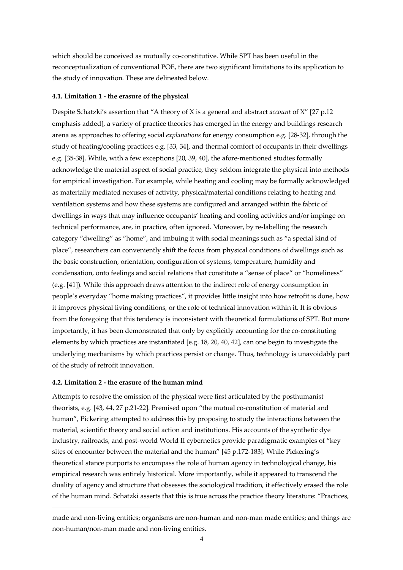which should be conceived as mutually co-constitutive. While SPT has been useful in the reconceptualization of conventional POE, there are two significant limitations to its application to the study of innovation. These are delineated below.

#### **4.1. Limitation 1 - the erasure of the physical**

Despite Schatzki's assertion that "A theory of X is a general and abstract *account* of X" [27 p.12 emphasis added], a variety of practice theories has emerged in the energy and buildings research arena as approaches to offering social *explanations* for energy consumption e.g. [28-32], through the study of heating/cooling practices e.g. [33, 34], and thermal comfort of occupants in their dwellings e.g. [35-38]. While, with a few exceptions [20, 39, 40], the afore-mentioned studies formally acknowledge the material aspect of social practice, they seldom integrate the physical into methods for empirical investigation. For example, while heating and cooling may be formally acknowledged as materially mediated nexuses of activity, physical/material conditions relating to heating and ventilation systems and how these systems are configured and arranged within the fabric of dwellings in ways that may influence occupants' heating and cooling activities and/or impinge on technical performance, are, in practice, often ignored. Moreover, by re-labelling the research category "dwelling" as "home", and imbuing it with social meanings such as "a special kind of place", researchers can conveniently shift the focus from physical conditions of dwellings such as the basic construction, orientation, configuration of systems, temperature, humidity and condensation, onto feelings and social relations that constitute a "sense of place" or "homeliness" (e.g. [41]). While this approach draws attention to the indirect role of energy consumption in people's everyday "home making practices", it provides little insight into how retrofit is done, how it improves physical living conditions, or the role of technical innovation within it. It is obvious from the foregoing that this tendency is inconsistent with theoretical formulations of SPT. But more importantly, it has been demonstrated that only by explicitly accounting for the co-constituting elements by which practices are instantiated [e.g. 18, 20, 40, 42], can one begin to investigate the underlying mechanisms by which practices persist or change. Thus, technology is unavoidably part of the study of retrofit innovation.

#### **4.2. Limitation 2 - the erasure of the human mind**

 $\overline{a}$ 

Attempts to resolve the omission of the physical were first articulated by the posthumanist theorists, e.g. [43, 44, 27 p.21-22]. Premised upon "the mutual co-constitution of material and human", Pickering attempted to address this by proposing to study the interactions between the material, scientific theory and social action and institutions. His accounts of the synthetic dye industry, railroads, and post-world World II cybernetics provide paradigmatic examples of "key sites of encounter between the material and the human" [45 p.172-183]. While Pickering's theoretical stance purports to encompass the role of human agency in technological change, his empirical research was entirely historical. More importantly, while it appeared to transcend the duality of agency and structure that obsesses the sociological tradition, it effectively erased the role of the human mind. Schatzki asserts that this is true across the practice theory literature: "Practices,

made and non-living entities; organisms are non-human and non-man made entities; and things are non-human/non-man made and non-living entities.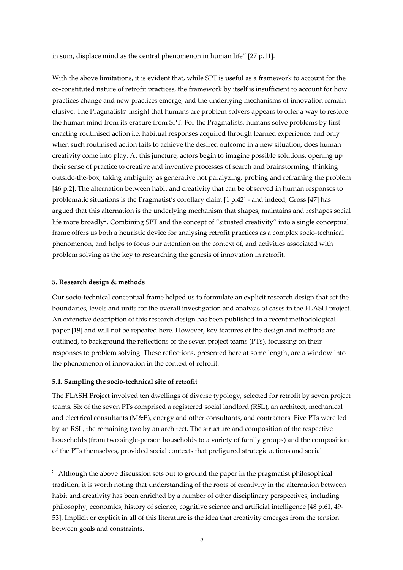in sum, displace mind as the central phenomenon in human life" [27 p.11].

With the above limitations, it is evident that, while SPT is useful as a framework to account for the co-constituted nature of retrofit practices, the framework by itself is insufficient to account for how practices change and new practices emerge, and the underlying mechanisms of innovation remain elusive. The Pragmatists' insight that humans are problem solvers appears to offer a way to restore the human mind from its erasure from SPT. For the Pragmatists, humans solve problems by first enacting routinised action i.e. habitual responses acquired through learned experience, and only when such routinised action fails to achieve the desired outcome in a new situation, does human creativity come into play. At this juncture, actors begin to imagine possible solutions, opening up their sense of practice to creative and inventive processes of search and brainstorming, thinking outside-the-box, taking ambiguity as generative not paralyzing, probing and reframing the problem [46 p.2]. The alternation between habit and creativity that can be observed in human responses to problematic situations is the Pragmatist's corollary claim [1 p.42] - and indeed, Gross [47] has argued that this alternation is the underlying mechanism that shapes, maintains and reshapes social life more broadly<sup>2</sup>. Combining SPT and the concept of "situated creativity" into a single conceptual frame offers us both a heuristic device for analysing retrofit practices as a complex socio-technical phenomenon, and helps to focus our attention on the context of, and activities associated with problem solving as the key to researching the genesis of innovation in retrofit.

#### **5. Research design & methods**

 $\overline{a}$ 

Our socio-technical conceptual frame helped us to formulate an explicit research design that set the boundaries, levels and units for the overall investigation and analysis of cases in the FLASH project. An extensive description of this research design has been published in a recent methodological paper [19] and will not be repeated here. However, key features of the design and methods are outlined, to background the reflections of the seven project teams (PTs), focussing on their responses to problem solving. These reflections, presented here at some length, are a window into the phenomenon of innovation in the context of retrofit.

### **5.1. Sampling the socio-technical site of retrofit**

The FLASH Project involved ten dwellings of diverse typology, selected for retrofit by seven project teams. Six of the seven PTs comprised a registered social landlord (RSL), an architect, mechanical and electrical consultants (M&E), energy and other consultants, and contractors. Five PTs were led by an RSL, the remaining two by an architect. The structure and composition of the respective households (from two single-person households to a variety of family groups) and the composition of the PTs themselves, provided social contexts that prefigured strategic actions and social

<sup>&</sup>lt;sup>2</sup> Although the above discussion sets out to ground the paper in the pragmatist philosophical tradition, it is worth noting that understanding of the roots of creativity in the alternation between habit and creativity has been enriched by a number of other disciplinary perspectives, including philosophy, economics, history of science, cognitive science and artificial intelligence [48 p.61, 49- 53]. Implicit or explicit in all of this literature is the idea that creativity emerges from the tension between goals and constraints.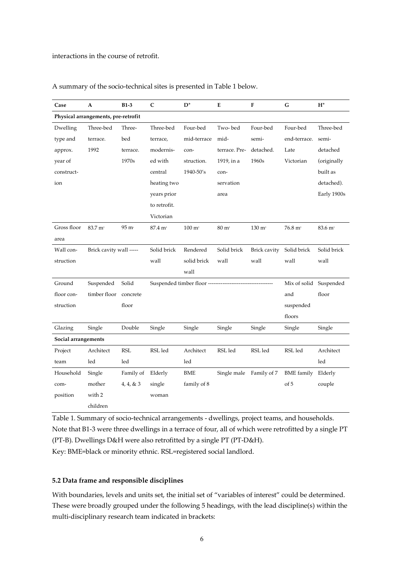interactions in the course of retrofit.

| Case                                | A                       | $B1-3$            | C                         | $D^*$             | Е                | F                     | G                      | $H^*$               |  |  |  |
|-------------------------------------|-------------------------|-------------------|---------------------------|-------------------|------------------|-----------------------|------------------------|---------------------|--|--|--|
| Physical arrangements, pre-retrofit |                         |                   |                           |                   |                  |                       |                        |                     |  |  |  |
| Dwelling                            | Three-bed               | Three-            | Three-bed                 | Four-bed          | Two-bed          | Four-bed              | Four-bed               | Three-bed           |  |  |  |
| type and                            | terrace.                | bed               | terrace,                  | mid-terrace       | mid-             | semi-                 | end-terrace.           | semi-               |  |  |  |
| approx.                             | 1992                    | terrace.          | modernis-                 | con-              | terrace. Pre-    | detached.             | Late                   | detached            |  |  |  |
| year of                             |                         | 1970s             | ed with                   | struction.        | 1919, in a       | 1960s                 | Victorian              | (originally         |  |  |  |
| construct-                          |                         |                   | central                   | 1940-50's         | con-             |                       |                        | built as            |  |  |  |
| ion                                 |                         |                   | heating two               |                   | servation        |                       |                        | detached).          |  |  |  |
|                                     |                         |                   | years prior               |                   | area             |                       |                        | Early 1900s         |  |  |  |
|                                     |                         |                   | to retrofit.              |                   |                  |                       |                        |                     |  |  |  |
|                                     |                         |                   | Victorian                 |                   |                  |                       |                        |                     |  |  |  |
| Gross floor                         | $83.7 \text{ m}^2$      | 95 m <sup>2</sup> | 87.4 m <sup>2</sup>       | $100 \text{ m}^2$ | $80 \text{ m}^2$ | $130 \; \mathrm{m}^2$ | $76.8 \text{ m}^2$     | 83.6 m <sup>2</sup> |  |  |  |
| area                                |                         |                   |                           |                   |                  |                       |                        |                     |  |  |  |
| Wall con-                           | Brick cavity wall ----- |                   | Solid brick               | Rendered          | Solid brick      | Brick cavity          | Solid brick            | Solid brick         |  |  |  |
| struction                           |                         |                   | wall                      | solid brick       | wall             | wall                  | wall                   | wall                |  |  |  |
|                                     |                         |                   |                           | wall              |                  |                       |                        |                     |  |  |  |
| Ground                              | Suspended               | Solid             | Suspended timber floor -- |                   |                  |                       | Mix of solid Suspended |                     |  |  |  |
| floor con-                          | timber floor            | concrete          |                           |                   |                  |                       | and                    | floor               |  |  |  |
| struction                           |                         | floor             |                           |                   |                  |                       | suspended              |                     |  |  |  |
|                                     |                         |                   |                           |                   |                  |                       | floors                 |                     |  |  |  |
| Glazing                             | Single                  | Double            | Single                    | Single            | Single           | Single                | Single                 | Single              |  |  |  |
| Social arrangements                 |                         |                   |                           |                   |                  |                       |                        |                     |  |  |  |
| Project                             | Architect               | <b>RSL</b>        | RSL led                   | Architect         | RSL led          | RSL led               | RSL led                | Architect           |  |  |  |
| team                                | led                     | led               |                           | led               |                  |                       |                        | led                 |  |  |  |
| Household                           | Single                  | Family of         | Elderly                   | BME               | Single male      | Family of 7           | <b>BME</b> family      | Elderly             |  |  |  |
| com-                                | mother                  | $4,\,4,\,8$ $3$   | single                    | family of 8       |                  |                       | of 5                   | couple              |  |  |  |
| position                            | with 2                  |                   | woman                     |                   |                  |                       |                        |                     |  |  |  |
|                                     | children                |                   |                           |                   |                  |                       |                        |                     |  |  |  |

A summary of the socio-technical sites is presented in Table 1 below.

Table 1. Summary of socio-technical arrangements - dwellings, project teams, and households. Note that B1-3 were three dwellings in a terrace of four, all of which were retrofitted by a single PT (PT-B). Dwellings D&H were also retrofitted by a single PT (PT-D&H).

Key: BME=black or minority ethnic. RSL=registered social landlord.

### **5.2 Data frame and responsible disciplines**

With boundaries, levels and units set, the initial set of "variables of interest" could be determined. These were broadly grouped under the following 5 headings, with the lead discipline(s) within the multi-disciplinary research team indicated in brackets: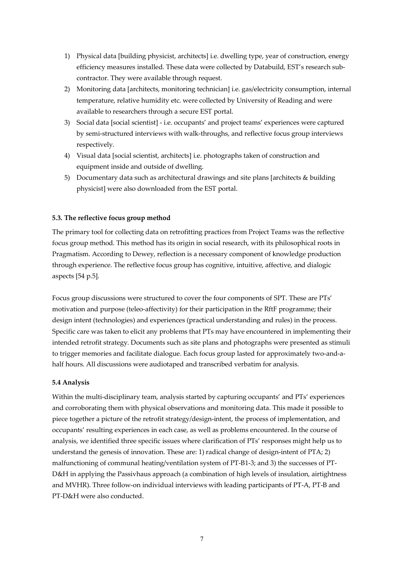- 1) Physical data [building physicist, architects] i.e. dwelling type, year of construction, energy efficiency measures installed. These data were collected by Databuild, EST's research subcontractor. They were available through request.
- 2) Monitoring data [architects, monitoring technician] i.e. gas/electricity consumption, internal temperature, relative humidity etc. were collected by University of Reading and were available to researchers through a secure EST portal.
- 3) Social data [social scientist] i.e. occupants' and project teams' experiences were captured by semi-structured interviews with walk-throughs, and reflective focus group interviews respectively.
- 4) Visual data [social scientist, architects] i.e. photographs taken of construction and equipment inside and outside of dwelling.
- 5) Documentary data such as architectural drawings and site plans [architects & building physicist] were also downloaded from the EST portal.

# **5.3. The reflective focus group method**

The primary tool for collecting data on retrofitting practices from Project Teams was the reflective focus group method. This method has its origin in social research, with its philosophical roots in Pragmatism. According to Dewey, reflection is a necessary component of knowledge production through experience. The reflective focus group has cognitive, intuitive, affective, and dialogic aspects [54 p.5].

Focus group discussions were structured to cover the four components of SPT. These are PTs' motivation and purpose (teleo-affectivity) for their participation in the RftF programme; their design intent (technologies) and experiences (practical understanding and rules) in the process. Specific care was taken to elicit any problems that PTs may have encountered in implementing their intended retrofit strategy. Documents such as site plans and photographs were presented as stimuli to trigger memories and facilitate dialogue. Each focus group lasted for approximately two-and-ahalf hours. All discussions were audiotaped and transcribed verbatim for analysis.

### **5.4 Analysis**

Within the multi-disciplinary team, analysis started by capturing occupants' and PTs' experiences and corroborating them with physical observations and monitoring data. This made it possible to piece together a picture of the retrofit strategy/design-intent, the process of implementation, and occupants' resulting experiences in each case, as well as problems encountered. In the course of analysis, we identified three specific issues where clarification of PTs' responses might help us to understand the genesis of innovation. These are: 1) radical change of design-intent of PTA; 2) malfunctioning of communal heating/ventilation system of PT-B1-3; and 3) the successes of PT-D&H in applying the Passivhaus approach (a combination of high levels of insulation, airtightness and MVHR). Three follow-on individual interviews with leading participants of PT-A, PT-B and PT-D&H were also conducted.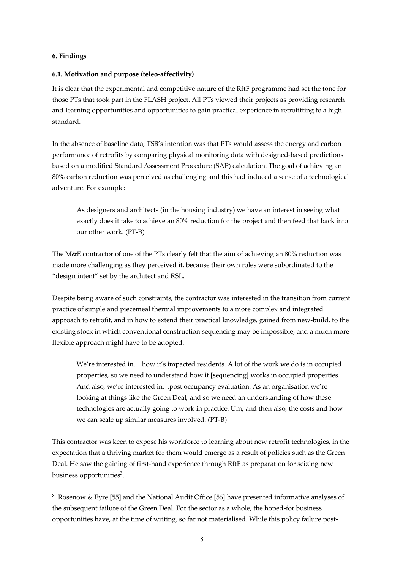# **6. Findings**

 $\overline{a}$ 

# **6.1. Motivation and purpose (teleo-affectivity)**

It is clear that the experimental and competitive nature of the RftF programme had set the tone for those PTs that took part in the FLASH project. All PTs viewed their projects as providing research and learning opportunities and opportunities to gain practical experience in retrofitting to a high standard.

In the absence of baseline data, TSB's intention was that PTs would assess the energy and carbon performance of retrofits by comparing physical monitoring data with designed-based predictions based on a modified Standard Assessment Procedure (SAP) calculation. The goal of achieving an 80% carbon reduction was perceived as challenging and this had induced a sense of a technological adventure. For example:

As designers and architects (in the housing industry) we have an interest in seeing what exactly does it take to achieve an 80% reduction for the project and then feed that back into our other work. (PT-B)

The M&E contractor of one of the PTs clearly felt that the aim of achieving an 80% reduction was made more challenging as they perceived it, because their own roles were subordinated to the "design intent" set by the architect and RSL.

Despite being aware of such constraints, the contractor was interested in the transition from current practice of simple and piecemeal thermal improvements to a more complex and integrated approach to retrofit, and in how to extend their practical knowledge, gained from new-build, to the existing stock in which conventional construction sequencing may be impossible, and a much more flexible approach might have to be adopted.

We're interested in… how it's impacted residents. A lot of the work we do is in occupied properties, so we need to understand how it [sequencing] works in occupied properties. And also, we're interested in…post occupancy evaluation. As an organisation we're looking at things like the Green Deal, and so we need an understanding of how these technologies are actually going to work in practice. Um, and then also, the costs and how we can scale up similar measures involved. (PT-B)

This contractor was keen to expose his workforce to learning about new retrofit technologies, in the expectation that a thriving market for them would emerge as a result of policies such as the Green Deal. He saw the gaining of first-hand experience through RftF as preparation for seizing new business opportunities $3$ .

<sup>&</sup>lt;sup>3</sup> Rosenow & Eyre [55] and the National Audit Office [56] have presented informative analyses of the subsequent failure of the Green Deal. For the sector as a whole, the hoped-for business opportunities have, at the time of writing, so far not materialised. While this policy failure post-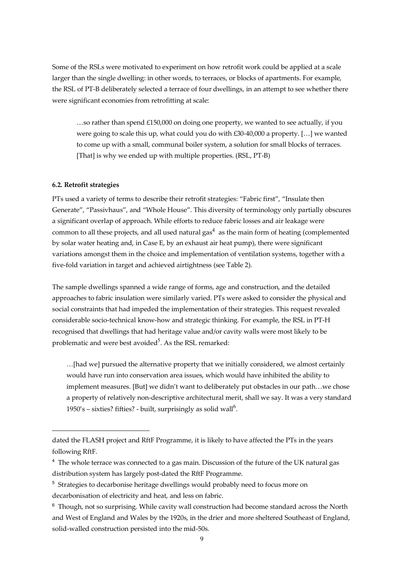Some of the RSLs were motivated to experiment on how retrofit work could be applied at a scale larger than the single dwelling: in other words, to terraces, or blocks of apartments. For example, the RSL of PT-B deliberately selected a terrace of four dwellings, in an attempt to see whether there were significant economies from retrofitting at scale:

…so rather than spend £150,000 on doing one property, we wanted to see actually, if you were going to scale this up, what could you do with £30-40,000 a property. […] we wanted to come up with a small, communal boiler system, a solution for small blocks of terraces. [That] is why we ended up with multiple properties. (RSL, PT-B)

### **6.2. Retrofit strategies**

 $\overline{a}$ 

PTs used a variety of terms to describe their retrofit strategies: "Fabric first", "Insulate then Generate", "Passivhaus", and "Whole House". This diversity of terminology only partially obscures a significant overlap of approach. While efforts to reduce fabric losses and air leakage were common to all these projects, and all used natural gas<sup>4</sup> as the main form of heating (complemented by solar water heating and, in Case E, by an exhaust air heat pump), there were significant variations amongst them in the choice and implementation of ventilation systems, together with a five-fold variation in target and achieved airtightness (see Table 2).

The sample dwellings spanned a wide range of forms, age and construction, and the detailed approaches to fabric insulation were similarly varied. PTs were asked to consider the physical and social constraints that had impeded the implementation of their strategies. This request revealed considerable socio-technical know-how and strategic thinking. For example, the RSL in PT-H recognised that dwellings that had heritage value and/or cavity walls were most likely to be problematic and were best avoided<sup>5</sup>. As the RSL remarked:

…[had we] pursued the alternative property that we initially considered, we almost certainly would have run into conservation area issues, which would have inhibited the ability to implement measures. [But] we didn't want to deliberately put obstacles in our path…we chose a property of relatively non-descriptive architectural merit, shall we say. It was a very standard 1950's - sixties? fifties? - built, surprisingly as solid wall<sup>6</sup>.

dated the FLASH project and RftF Programme, it is likely to have affected the PTs in the years following RftF.

<sup>&</sup>lt;sup>4</sup> The whole terrace was connected to a gas main. Discussion of the future of the UK natural gas distribution system has largely post-dated the RftF Programme.

<sup>&</sup>lt;sup>5</sup> Strategies to decarbonise heritage dwellings would probably need to focus more on decarbonisation of electricity and heat, and less on fabric.

<sup>&</sup>lt;sup>6</sup> Though, not so surprising. While cavity wall construction had become standard across the North and West of England and Wales by the 1920s, in the drier and more sheltered Southeast of England, solid-walled construction persisted into the mid-50s.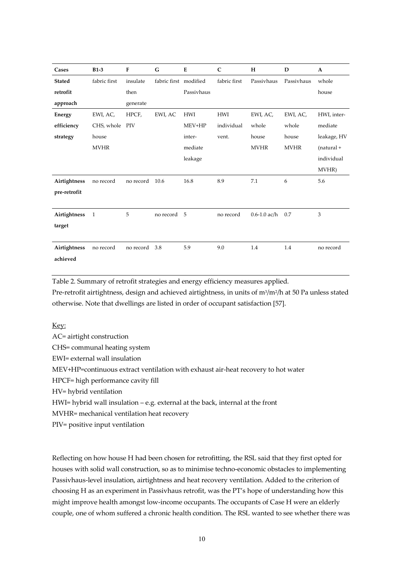| Cases         | $B1-3$         | F         | G                     | E          | $\mathsf{C}$ | $H_{\rm}$        | D           | $\mathbf A$    |
|---------------|----------------|-----------|-----------------------|------------|--------------|------------------|-------------|----------------|
| <b>Stated</b> | fabric first   | insulate  | fabric first modified |            | fabric first | Passivhaus       | Passivhaus  | whole          |
| retrofit      |                | then      |                       | Passivhaus |              |                  |             | house          |
| approach      |                | generate  |                       |            |              |                  |             |                |
| <b>Energy</b> | EWI, AC,       | HPCF,     | EWI, AC               | <b>HWI</b> | <b>HWI</b>   | EWI, AC,         | EWI, AC,    | HWI, inter-    |
| efficiency    | CHS, whole PIV |           |                       | MEV+HP     | individual   | whole            | whole       | mediate        |
| strategy      | house          |           |                       | inter-     | vent.        | house            | house       | leakage, HV    |
|               | <b>MVHR</b>    |           |                       | mediate    |              | <b>MVHR</b>      | <b>MVHR</b> | $(natural +$   |
|               |                |           |                       | leakage    |              |                  |             | individual     |
|               |                |           |                       |            |              |                  |             | MVHR)          |
| Airtightness  | no record      | no record | 10.6                  | 16.8       | 8.9          | 7.1              | 6           | 5.6            |
| pre-retrofit  |                |           |                       |            |              |                  |             |                |
|               |                |           |                       |            |              |                  |             |                |
| Airtightness  | 1              | 5         | no record             | 5          | no record    | $0.6 - 1.0$ ac/h | 0.7         | $\mathfrak{Z}$ |
| target        |                |           |                       |            |              |                  |             |                |
|               |                |           |                       |            |              |                  |             |                |
| Airtightness  | no record      | no record | 3.8                   | 5.9        | 9.0          | 1.4              | 1.4         | no record      |
| achieved      |                |           |                       |            |              |                  |             |                |

Table 2. Summary of retrofit strategies and energy efficiency measures applied.

Pre-retrofit airtightness, design and achieved airtightness, in units of m<sup>3</sup>/m<sup>2</sup>/h at 50 Pa unless stated otherwise. Note that dwellings are listed in order of occupant satisfaction [57].

Key:

AC= airtight construction CHS= communal heating system EWI= external wall insulation MEV+HP=continuous extract ventilation with exhaust air-heat recovery to hot water HPCF= high performance cavity fill HV= hybrid ventilation HWI= hybrid wall insulation – e.g. external at the back, internal at the front MVHR= mechanical ventilation heat recovery PIV= positive input ventilation

Reflecting on how house H had been chosen for retrofitting, the RSL said that they first opted for houses with solid wall construction, so as to minimise techno-economic obstacles to implementing Passivhaus-level insulation, airtightness and heat recovery ventilation. Added to the criterion of choosing H as an experiment in Passivhaus retrofit, was the PT's hope of understanding how this might improve health amongst low-income occupants. The occupants of Case H were an elderly couple, one of whom suffered a chronic health condition. The RSL wanted to see whether there was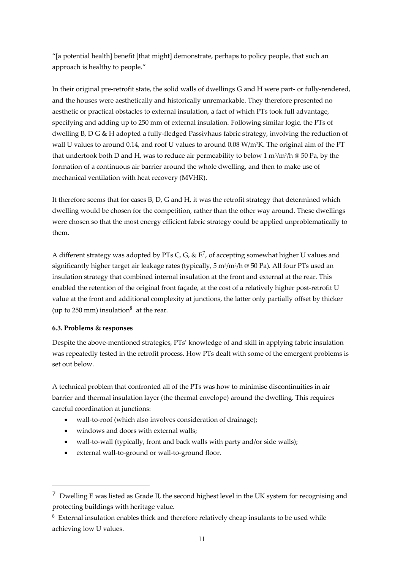"[a potential health] benefit [that might] demonstrate, perhaps to policy people, that such an approach is healthy to people."

In their original pre-retrofit state, the solid walls of dwellings G and H were part- or fully-rendered, and the houses were aesthetically and historically unremarkable. They therefore presented no aesthetic or practical obstacles to external insulation, a fact of which PTs took full advantage, specifying and adding up to 250 mm of external insulation. Following similar logic, the PTs of dwelling B, D G & H adopted a fully-fledged Passivhaus fabric strategy, involving the reduction of wall U values to around 0.14, and roof U values to around 0.08  $W/m^2K$ . The original aim of the PT that undertook both D and H, was to reduce air permeability to below 1 m<sup>3</sup>/m<sup>2</sup>/h @ 50 Pa, by the formation of a continuous air barrier around the whole dwelling, and then to make use of mechanical ventilation with heat recovery (MVHR).

It therefore seems that for cases B, D, G and H, it was the retrofit strategy that determined which dwelling would be chosen for the competition, rather than the other way around. These dwellings were chosen so that the most energy efficient fabric strategy could be applied unproblematically to them.

A different strategy was adopted by PTs C, G, &  $E^7$ , of accepting somewhat higher U values and significantly higher target air leakage rates (typically,  $5 \text{ m}^3/\text{m}^2/\text{h} \otimes 50 \text{ Pa}$ ). All four PTs used an insulation strategy that combined internal insulation at the front and external at the rear. This enabled the retention of the original front façade, at the cost of a relatively higher post-retrofit U value at the front and additional complexity at junctions, the latter only partially offset by thicker (up to 250 mm) insulation<sup>8</sup> at the rear.

### **6.3. Problems & responses**

 $\overline{a}$ 

Despite the above-mentioned strategies, PTs' knowledge of and skill in applying fabric insulation was repeatedly tested in the retrofit process. How PTs dealt with some of the emergent problems is set out below.

A technical problem that confronted all of the PTs was how to minimise discontinuities in air barrier and thermal insulation layer (the thermal envelope) around the dwelling. This requires careful coordination at junctions:

- wall-to-roof (which also involves consideration of drainage);
- windows and doors with external walls;
- wall-to-wall (typically, front and back walls with party and/or side walls);
- external wall-to-ground or wall-to-ground floor.

 $7$  Dwelling E was listed as Grade II, the second highest level in the UK system for recognising and protecting buildings with heritage value.

 $8$  External insulation enables thick and therefore relatively cheap insulants to be used while achieving low U values.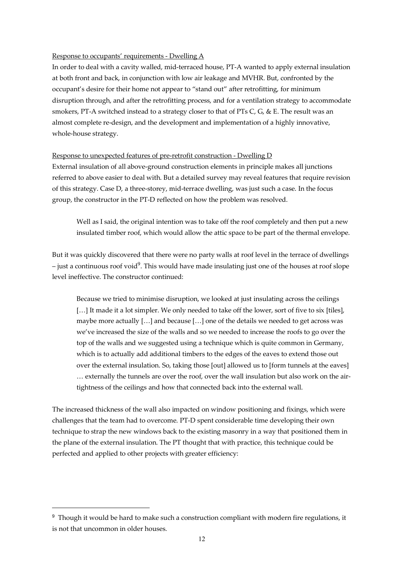### Response to occupants' requirements - Dwelling A

In order to deal with a cavity walled, mid-terraced house, PT-A wanted to apply external insulation at both front and back, in conjunction with low air leakage and MVHR. But, confronted by the occupant's desire for their home not appear to "stand out" after retrofitting, for minimum disruption through, and after the retrofitting process, and for a ventilation strategy to accommodate smokers, PT-A switched instead to a strategy closer to that of PTs C, G, & E. The result was an almost complete re-design, and the development and implementation of a highly innovative, whole-house strategy.

### Response to unexpected features of pre-retrofit construction - Dwelling D

External insulation of all above-ground construction elements in principle makes all junctions referred to above easier to deal with. But a detailed survey may reveal features that require revision of this strategy. Case D, a three-storey, mid-terrace dwelling, was just such a case. In the focus group, the constructor in the PT-D reflected on how the problem was resolved.

Well as I said, the original intention was to take off the roof completely and then put a new insulated timber roof, which would allow the attic space to be part of the thermal envelope.

But it was quickly discovered that there were no party walls at roof level in the terrace of dwellings  $-$  just a continuous roof void<sup>9</sup>. This would have made insulating just one of the houses at roof slope level ineffective. The constructor continued:

Because we tried to minimise disruption, we looked at just insulating across the ceilings [...] It made it a lot simpler. We only needed to take off the lower, sort of five to six [tiles], maybe more actually  $[...]$  and because  $[...]$  one of the details we needed to get across was we've increased the size of the walls and so we needed to increase the roofs to go over the top of the walls and we suggested using a technique which is quite common in Germany, which is to actually add additional timbers to the edges of the eaves to extend those out over the external insulation. So, taking those [out] allowed us to [form tunnels at the eaves] … externally the tunnels are over the roof, over the wall insulation but also work on the airtightness of the ceilings and how that connected back into the external wall.

The increased thickness of the wall also impacted on window positioning and fixings, which were challenges that the team had to overcome. PT-D spent considerable time developing their own technique to strap the new windows back to the existing masonry in a way that positioned them in the plane of the external insulation. The PT thought that with practice, this technique could be perfected and applied to other projects with greater efficiency:

<sup>&</sup>lt;sup>9</sup> Though it would be hard to make such a construction compliant with modern fire regulations, it is not that uncommon in older houses.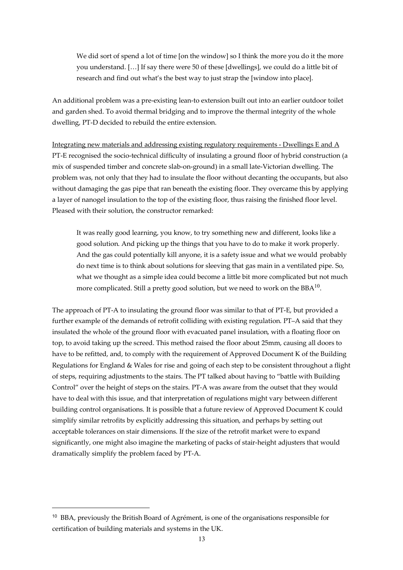We did sort of spend a lot of time [on the window] so I think the more you do it the more you understand. […] If say there were 50 of these [dwellings], we could do a little bit of research and find out what's the best way to just strap the [window into place].

An additional problem was a pre-existing lean-to extension built out into an earlier outdoor toilet and garden shed. To avoid thermal bridging and to improve the thermal integrity of the whole dwelling, PT-D decided to rebuild the entire extension.

Integrating new materials and addressing existing regulatory requirements - Dwellings E and A PT-E recognised the socio-technical difficulty of insulating a ground floor of hybrid construction (a mix of suspended timber and concrete slab-on-ground) in a small late-Victorian dwelling. The problem was, not only that they had to insulate the floor without decanting the occupants, but also without damaging the gas pipe that ran beneath the existing floor. They overcame this by applying a layer of nanogel insulation to the top of the existing floor, thus raising the finished floor level. Pleased with their solution, the constructor remarked:

It was really good learning, you know, to try something new and different, looks like a good solution. And picking up the things that you have to do to make it work properly. And the gas could potentially kill anyone, it is a safety issue and what we would probably do next time is to think about solutions for sleeving that gas main in a ventilated pipe. So, what we thought as a simple idea could become a little bit more complicated but not much more complicated. Still a pretty good solution, but we need to work on the  $BBA^{10}$ .

The approach of PT-A to insulating the ground floor was similar to that of PT-E, but provided a further example of the demands of retrofit colliding with existing regulation. PT–A said that they insulated the whole of the ground floor with evacuated panel insulation, with a floating floor on top, to avoid taking up the screed. This method raised the floor about 25mm, causing all doors to have to be refitted, and, to comply with the requirement of Approved Document K of the Building Regulations for England & Wales for rise and going of each step to be consistent throughout a flight of steps, requiring adjustments to the stairs. The PT talked about having to "battle with Building Control" over the height of steps on the stairs. PT-A was aware from the outset that they would have to deal with this issue, and that interpretation of regulations might vary between different building control organisations. It is possible that a future review of Approved Document K could simplify similar retrofits by explicitly addressing this situation, and perhaps by setting out acceptable tolerances on stair dimensions. If the size of the retrofit market were to expand significantly, one might also imagine the marketing of packs of stair-height adjusters that would dramatically simplify the problem faced by PT-A.

<sup>&</sup>lt;sup>10</sup> BBA, previously the British Board of Agrément, is one of the organisations responsible for certification of building materials and systems in the UK.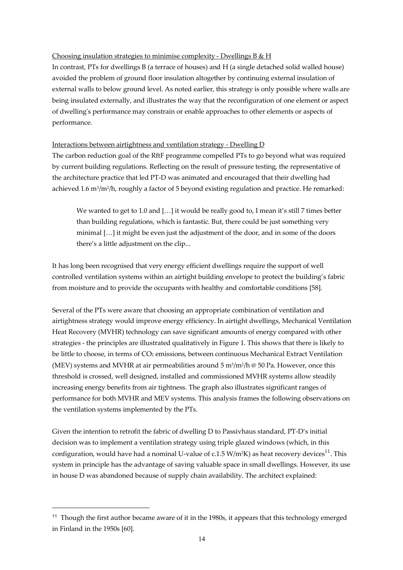### Choosing insulation strategies to minimise complexity - Dwellings B & H

In contrast, PTs for dwellings B (a terrace of houses) and H (a single detached solid walled house) avoided the problem of ground floor insulation altogether by continuing external insulation of external walls to below ground level. As noted earlier, this strategy is only possible where walls are being insulated externally, and illustrates the way that the reconfiguration of one element or aspect of dwelling's performance may constrain or enable approaches to other elements or aspects of performance.

### Interactions between airtightness and ventilation strategy - Dwelling D

The carbon reduction goal of the RftF programme compelled PTs to go beyond what was required by current building regulations. Reflecting on the result of pressure testing, the representative of the architecture practice that led PT-D was animated and encouraged that their dwelling had achieved 1.6 m<sup>3</sup>/m<sup>2</sup>/h, roughly a factor of 5 beyond existing regulation and practice. He remarked:

We wanted to get to 1.0 and [...] it would be really good to, I mean it's still 7 times better than building regulations, which is fantastic. But, there could be just something very minimal […] it might be even just the adjustment of the door, and in some of the doors there's a little adjustment on the clip...

It has long been recognised that very energy efficient dwellings require the support of well controlled ventilation systems within an airtight building envelope to protect the building's fabric from moisture and to provide the occupants with healthy and comfortable conditions [58].

Several of the PTs were aware that choosing an appropriate combination of ventilation and airtightness strategy would improve energy efficiency. In airtight dwellings, Mechanical Ventilation Heat Recovery (MVHR) technology can save significant amounts of energy compared with other strategies - the principles are illustrated qualitatively in Figure 1. This shows that there is likely to be little to choose, in terms of CO<sub>2</sub> emissions, between continuous Mechanical Extract Ventilation (MEV) systems and MVHR at air permeabilities around  $5 \text{ m}^3/\text{m}^2/\text{h} \otimes 50 \text{ Pa}$ . However, once this threshold is crossed, well designed, installed and commissioned MVHR systems allow steadily increasing energy benefits from air tightness. The graph also illustrates significant ranges of performance for both MVHR and MEV systems. This analysis frames the following observations on the ventilation systems implemented by the PTs.

Given the intention to retrofit the fabric of dwelling D to Passivhaus standard, PT-D's initial decision was to implement a ventilation strategy using triple glazed windows (which, in this configuration, would have had a nominal U-value of c.1.5  $W/m^2K$  as heat recovery devices<sup>11</sup>. This system in principle has the advantage of saving valuable space in small dwellings. However, its use in house D was abandoned because of supply chain availability. The architect explained:

<sup>&</sup>lt;sup>11</sup> Though the first author became aware of it in the 1980s, it appears that this technology emerged in Finland in the 1950s [60].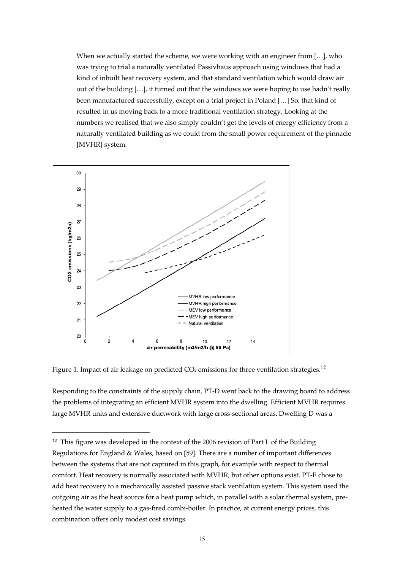When we actually started the scheme, we were working with an engineer from [...], who was trying to trial a naturally ventilated Passivhaus approach using windows that had a kind of inbuilt heat recovery system, and that standard ventilation which would draw air out of the building […], it turned out that the windows we were hoping to use hadn't really been manufactured successfully, except on a trial project in Poland […] So, that kind of resulted in us moving back to a more traditional ventilation strategy. Looking at the numbers we realised that we also simply couldn't get the levels of energy efficiency from a naturally ventilated building as we could from the small power requirement of the pinnacle [MVHR] system.



Figure 1. Impact of air leakage on predicted  $CO<sub>2</sub>$  emissions for three ventilation strategies.<sup>12</sup>

 $\overline{a}$ 

Responding to the constraints of the supply chain, PT-D went back to the drawing board to address the problems of integrating an efficient MVHR system into the dwelling. Efficient MVHR requires large MVHR units and extensive ductwork with large cross-sectional areas. Dwelling D was a

<sup>&</sup>lt;sup>12</sup> This figure was developed in the context of the 2006 revision of Part L of the Building Regulations for England & Wales, based on [59]. There are a number of important differences between the systems that are not captured in this graph, for example with respect to thermal comfort. Heat recovery is normally associated with MVHR, but other options exist. PT-E chose to add heat recovery to a mechanically assisted passive stack ventilation system. This system used the outgoing air as the heat source for a heat pump which, in parallel with a solar thermal system, preheated the water supply to a gas-fired combi-boiler. In practice, at current energy prices, this combination offers only modest cost savings.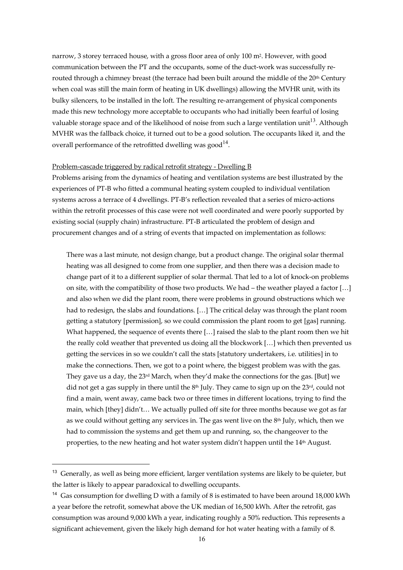narrow, 3 storey terraced house, with a gross floor area of only 100 m2. However, with good communication between the PT and the occupants, some of the duct-work was successfully rerouted through a chimney breast (the terrace had been built around the middle of the 20th Century when coal was still the main form of heating in UK dwellings) allowing the MVHR unit, with its bulky silencers, to be installed in the loft. The resulting re-arrangement of physical components made this new technology more acceptable to occupants who had initially been fearful of losing valuable storage space and of the likelihood of noise from such a large ventilation unit<sup>13</sup>. Although MVHR was the fallback choice, it turned out to be a good solution. The occupants liked it, and the overall performance of the retrofitted dwelling was good<sup>14</sup>.

### Problem-cascade triggered by radical retrofit strategy - Dwelling B

Problems arising from the dynamics of heating and ventilation systems are best illustrated by the experiences of PT-B who fitted a communal heating system coupled to individual ventilation systems across a terrace of 4 dwellings. PT-B's reflection revealed that a series of micro-actions within the retrofit processes of this case were not well coordinated and were poorly supported by existing social (supply chain) infrastructure. PT-B articulated the problem of design and procurement changes and of a string of events that impacted on implementation as follows:

There was a last minute, not design change, but a product change. The original solar thermal heating was all designed to come from one supplier, and then there was a decision made to change part of it to a different supplier of solar thermal. That led to a lot of knock-on problems on site, with the compatibility of those two products. We had – the weather played a factor […] and also when we did the plant room, there were problems in ground obstructions which we had to redesign, the slabs and foundations. […] The critical delay was through the plant room getting a statutory [permission], so we could commission the plant room to get [gas] running. What happened, the sequence of events there […] raised the slab to the plant room then we hit the really cold weather that prevented us doing all the blockwork […] which then prevented us getting the services in so we couldn't call the stats [statutory undertakers, i.e. utilities] in to make the connections. Then, we got to a point where, the biggest problem was with the gas. They gave us a day, the  $23<sup>rd</sup>$  March, when they'd make the connections for the gas. [But] we did not get a gas supply in there until the  $8<sup>th</sup>$  July. They came to sign up on the 23<sup>rd</sup>, could not find a main, went away, came back two or three times in different locations, trying to find the main, which [they] didn't… We actually pulled off site for three months because we got as far as we could without getting any services in. The gas went live on the  $8<sup>th</sup>$  July, which, then we had to commission the systems and get them up and running, so, the changeover to the properties, to the new heating and hot water system didn't happen until the  $14<sup>th</sup>$  August.

<sup>&</sup>lt;sup>13</sup> Generally, as well as being more efficient, larger ventilation systems are likely to be quieter, but the latter is likely to appear paradoxical to dwelling occupants.

<sup>&</sup>lt;sup>14</sup> Gas consumption for dwelling D with a family of 8 is estimated to have been around 18,000 kWh a year before the retrofit, somewhat above the UK median of 16,500 kWh. After the retrofit, gas consumption was around 9,000 kWh a year, indicating roughly a 50% reduction. This represents a significant achievement, given the likely high demand for hot water heating with a family of 8.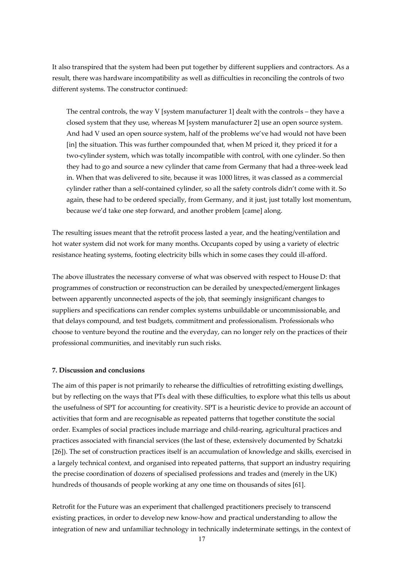It also transpired that the system had been put together by different suppliers and contractors. As a result, there was hardware incompatibility as well as difficulties in reconciling the controls of two different systems. The constructor continued:

The central controls, the way V [system manufacturer 1] dealt with the controls – they have a closed system that they use, whereas M [system manufacturer 2] use an open source system. And had V used an open source system, half of the problems we've had would not have been [in] the situation. This was further compounded that, when M priced it, they priced it for a two-cylinder system, which was totally incompatible with control, with one cylinder. So then they had to go and source a new cylinder that came from Germany that had a three-week lead in. When that was delivered to site, because it was 1000 litres, it was classed as a commercial cylinder rather than a self-contained cylinder, so all the safety controls didn't come with it. So again, these had to be ordered specially, from Germany, and it just, just totally lost momentum, because we'd take one step forward, and another problem [came] along.

The resulting issues meant that the retrofit process lasted a year, and the heating/ventilation and hot water system did not work for many months. Occupants coped by using a variety of electric resistance heating systems, footing electricity bills which in some cases they could ill-afford.

The above illustrates the necessary converse of what was observed with respect to House D: that programmes of construction or reconstruction can be derailed by unexpected/emergent linkages between apparently unconnected aspects of the job, that seemingly insignificant changes to suppliers and specifications can render complex systems unbuildable or uncommissionable, and that delays compound, and test budgets, commitment and professionalism. Professionals who choose to venture beyond the routine and the everyday, can no longer rely on the practices of their professional communities, and inevitably run such risks.

#### **7. Discussion and conclusions**

The aim of this paper is not primarily to rehearse the difficulties of retrofitting existing dwellings, but by reflecting on the ways that PTs deal with these difficulties, to explore what this tells us about the usefulness of SPT for accounting for creativity. SPT is a heuristic device to provide an account of activities that form and are recognisable as repeated patterns that together constitute the social order. Examples of social practices include marriage and child-rearing, agricultural practices and practices associated with financial services (the last of these, extensively documented by Schatzki [26]). The set of construction practices itself is an accumulation of knowledge and skills, exercised in a largely technical context, and organised into repeated patterns, that support an industry requiring the precise coordination of dozens of specialised professions and trades and (merely in the UK) hundreds of thousands of people working at any one time on thousands of sites [61].

Retrofit for the Future was an experiment that challenged practitioners precisely to transcend existing practices, in order to develop new know-how and practical understanding to allow the integration of new and unfamiliar technology in technically indeterminate settings, in the context of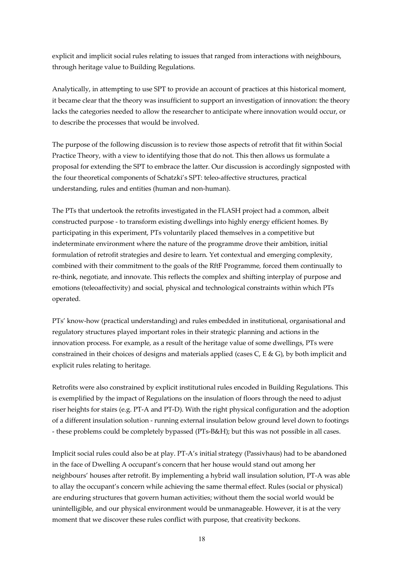explicit and implicit social rules relating to issues that ranged from interactions with neighbours, through heritage value to Building Regulations.

Analytically, in attempting to use SPT to provide an account of practices at this historical moment, it became clear that the theory was insufficient to support an investigation of innovation: the theory lacks the categories needed to allow the researcher to anticipate where innovation would occur, or to describe the processes that would be involved.

The purpose of the following discussion is to review those aspects of retrofit that fit within Social Practice Theory, with a view to identifying those that do not. This then allows us formulate a proposal for extending the SPT to embrace the latter. Our discussion is accordingly signposted with the four theoretical components of Schatzki's SPT: teleo-affective structures, practical understanding, rules and entities (human and non-human).

The PTs that undertook the retrofits investigated in the FLASH project had a common, albeit constructed purpose - to transform existing dwellings into highly energy efficient homes. By participating in this experiment, PTs voluntarily placed themselves in a competitive but indeterminate environment where the nature of the programme drove their ambition, initial formulation of retrofit strategies and desire to learn. Yet contextual and emerging complexity, combined with their commitment to the goals of the RftF Programme, forced them continually to re-think, negotiate, and innovate. This reflects the complex and shifting interplay of purpose and emotions (teleoaffectivity) and social, physical and technological constraints within which PTs operated.

PTs' know-how (practical understanding) and rules embedded in institutional, organisational and regulatory structures played important roles in their strategic planning and actions in the innovation process. For example, as a result of the heritage value of some dwellings, PTs were constrained in their choices of designs and materials applied (cases  $C$ , E &  $G$ ), by both implicit and explicit rules relating to heritage.

Retrofits were also constrained by explicit institutional rules encoded in Building Regulations. This is exemplified by the impact of Regulations on the insulation of floors through the need to adjust riser heights for stairs (e.g. PT-A and PT-D). With the right physical configuration and the adoption of a different insulation solution - running external insulation below ground level down to footings - these problems could be completely bypassed (PTs-B&H); but this was not possible in all cases.

Implicit social rules could also be at play. PT-A's initial strategy (Passivhaus) had to be abandoned in the face of Dwelling A occupant's concern that her house would stand out among her neighbours' houses after retrofit. By implementing a hybrid wall insulation solution, PT-A was able to allay the occupant's concern while achieving the same thermal effect. Rules (social or physical) are enduring structures that govern human activities; without them the social world would be unintelligible, and our physical environment would be unmanageable. However, it is at the very moment that we discover these rules conflict with purpose, that creativity beckons.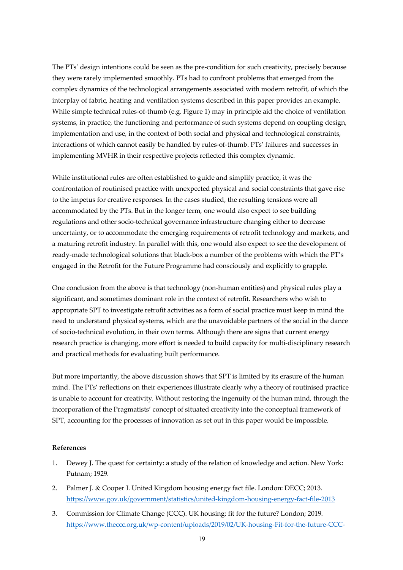The PTs' design intentions could be seen as the pre-condition for such creativity, precisely because they were rarely implemented smoothly. PTs had to confront problems that emerged from the complex dynamics of the technological arrangements associated with modern retrofit, of which the interplay of fabric, heating and ventilation systems described in this paper provides an example. While simple technical rules-of-thumb (e.g. Figure 1) may in principle aid the choice of ventilation systems, in practice, the functioning and performance of such systems depend on coupling design, implementation and use, in the context of both social and physical and technological constraints, interactions of which cannot easily be handled by rules-of-thumb. PTs' failures and successes in implementing MVHR in their respective projects reflected this complex dynamic.

While institutional rules are often established to guide and simplify practice, it was the confrontation of routinised practice with unexpected physical and social constraints that gave rise to the impetus for creative responses. In the cases studied, the resulting tensions were all accommodated by the PTs. But in the longer term, one would also expect to see building regulations and other socio-technical governance infrastructure changing either to decrease uncertainty, or to accommodate the emerging requirements of retrofit technology and markets, and a maturing retrofit industry. In parallel with this, one would also expect to see the development of ready-made technological solutions that black-box a number of the problems with which the PT's engaged in the Retrofit for the Future Programme had consciously and explicitly to grapple.

One conclusion from the above is that technology (non-human entities) and physical rules play a significant, and sometimes dominant role in the context of retrofit. Researchers who wish to appropriate SPT to investigate retrofit activities as a form of social practice must keep in mind the need to understand physical systems, which are the unavoidable partners of the social in the dance of socio-technical evolution, in their own terms. Although there are signs that current energy research practice is changing, more effort is needed to build capacity for multi-disciplinary research and practical methods for evaluating built performance.

But more importantly, the above discussion shows that SPT is limited by its erasure of the human mind. The PTs' reflections on their experiences illustrate clearly why a theory of routinised practice is unable to account for creativity. Without restoring the ingenuity of the human mind, through the incorporation of the Pragmatists' concept of situated creativity into the conceptual framework of SPT, accounting for the processes of innovation as set out in this paper would be impossible.

### **References**

- 1. Dewey J. The quest for certainty: a study of the relation of knowledge and action. New York: Putnam; 1929.
- 2. Palmer J. & Cooper I. United Kingdom housing energy fact file. London: DECC; 2013. https://www.gov.uk/government/statistics/united-kingdom-housing-energy-fact-file-2013
- 3. Commission for Climate Change (CCC). UK housing: fit for the future? London; 2019. https://www.theccc.org.uk/wp-content/uploads/2019/02/UK-housing-Fit-for-the-future-CCC-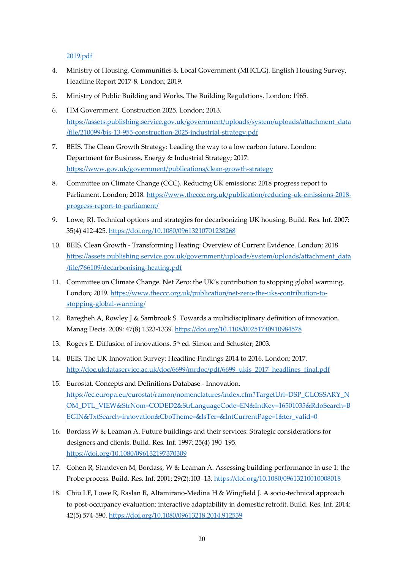### 2019.pdf

- 4. Ministry of Housing, Communities & Local Government (MHCLG). English Housing Survey, Headline Report 2017-8. London; 2019.
- 5. Ministry of Public Building and Works. The Building Regulations. London; 1965.
- 6. HM Government. Construction 2025. London; 2013. https://assets.publishing.service.gov.uk/government/uploads/system/uploads/attachment\_data /file/210099/bis-13-955-construction-2025-industrial-strategy.pdf
- 7. BEIS. The Clean Growth Strategy: Leading the way to a low carbon future. London: Department for Business, Energy & Industrial Strategy; 2017. https://www.gov.uk/government/publications/clean-growth-strategy
- 8. Committee on Climate Change (CCC). Reducing UK emissions: 2018 progress report to Parliament. London; 2018. https://www.theccc.org.uk/publication/reducing-uk-emissions-2018progress-report-to-parliament/
- 9. Lowe, RJ. Technical options and strategies for decarbonizing UK housing, Build. Res. Inf. 2007: 35(4) 412-425. https://doi.org/10.1080/09613210701238268
- 10. BEIS. Clean Growth Transforming Heating: Overview of Current Evidence. London; 2018 https://assets.publishing.service.gov.uk/government/uploads/system/uploads/attachment\_data /file/766109/decarbonising-heating.pdf
- 11. Committee on Climate Change. Net Zero: the UK's contribution to stopping global warming. London; 2019. https://www.theccc.org.uk/publication/net-zero-the-uks-contribution-tostopping-global-warming/
- 12. Baregheh A, Rowley J & Sambrook S. Towards a multidisciplinary definition of innovation. Manag Decis. 2009: 47(8) 1323-1339. https://doi.org/10.1108/00251740910984578
- 13. Rogers E. Diffusion of innovations. 5<sup>th</sup> ed. Simon and Schuster; 2003.
- 14. BEIS. The UK Innovation Survey: Headline Findings 2014 to 2016. London; 2017. http://doc.ukdataservice.ac.uk/doc/6699/mrdoc/pdf/6699\_ukis\_2017\_headlines\_final.pdf
- 15. Eurostat. Concepts and Definitions Database Innovation. https://ec.europa.eu/eurostat/ramon/nomenclatures/index.cfm?TargetUrl=DSP\_GLOSSARY\_N OM\_DTL\_VIEW&StrNom=CODED2&StrLanguageCode=EN&IntKey=16501035&RdoSearch=B EGIN&TxtSearch=innovation&CboTheme=&IsTer=&IntCurrentPage=1&ter\_valid=0
- 16. Bordass W & Leaman A. Future buildings and their services: Strategic considerations for designers and clients. Build. Res. Inf. 1997; 25(4) 190–195. https://doi.org/10.1080/096132197370309
- 17. Cohen R, Standeven M, Bordass, W & Leaman A. Assessing building performance in use 1: the Probe process. Build. Res. Inf. 2001; 29(2):103–13. https://doi.org/10.1080/09613210010008018
- 18. Chiu LF, Lowe R, Raslan R, Altamirano-Medina H & Wingfield J. A socio-technical approach to post-occupancy evaluation: interactive adaptability in domestic retrofit. Build. Res. Inf. 2014: 42(5) 574-590. https://doi.org/10.1080/09613218.2014.912539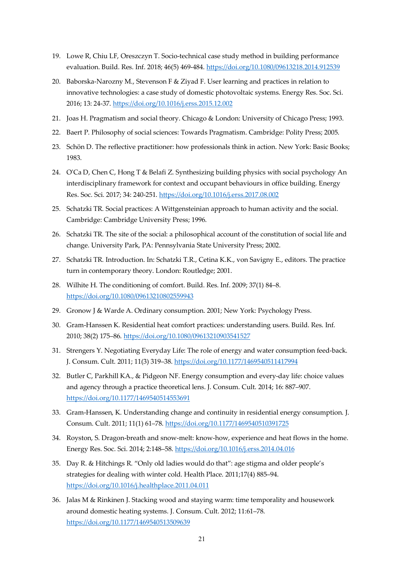- 19. Lowe R, Chiu LF, Oreszczyn T. Socio-technical case study method in building performance evaluation. Build. Res. Inf. 2018; 46(5) 469-484. https://doi.org/10.1080/09613218.2014.912539
- 20. Baborska-Narozny M., Stevenson F & Ziyad F. User learning and practices in relation to innovative technologies: a case study of domestic photovoltaic systems. Energy Res. Soc. Sci. 2016; 13: 24-37. https://doi.org/10.1016/j.erss.2015.12.002
- 21. Joas H. Pragmatism and social theory. Chicago & London: University of Chicago Press; 1993.
- 22. Baert P. Philosophy of social sciences: Towards Pragmatism. Cambridge: Polity Press; 2005.
- 23. Schön D. The reflective practitioner: how professionals think in action. New York: Basic Books; 1983.
- 24. O'Ca D, Chen C, Hong T & Belafi Z. Synthesizing building physics with social psychology An interdisciplinary framework for context and occupant behaviours in office building. Energy Res. Soc. Sci. 2017; 34: 240-251. https://doi.org/10.1016/j.erss.2017.08.002
- 25. Schatzki TR. Social practices: A Wittgensteinian approach to human activity and the social. Cambridge: Cambridge University Press; 1996.
- 26. Schatzki TR. The site of the social: a philosophical account of the constitution of social life and change. University Park, PA: Pennsylvania State University Press; 2002.
- 27. Schatzki TR. Introduction. In: Schatzki T.R., Cetina K.K., von Savigny E., editors. The practice turn in contemporary theory. London: Routledge; 2001.
- 28. Wilhite H. The conditioning of comfort. Build. Res. Inf. 2009; 37(1) 84–8. https://doi.org/10.1080/09613210802559943
- 29. Gronow J & Warde A. Ordinary consumption. 2001; New York: Psychology Press.
- 30. Gram-Hanssen K. Residential heat comfort practices: understanding users. Build. Res. Inf. 2010; 38(2) 175–86. https://doi.org/10.1080/09613210903541527
- 31. Strengers Y. Negotiating Everyday Life: The role of energy and water consumption feed-back. J. Consum. Cult. 2011; 11(3) 319–38. https://doi.org/10.1177/1469540511417994
- 32. Butler C, Parkhill KA., & Pidgeon NF. Energy consumption and every-day life: choice values and agency through a practice theoretical lens. J. Consum. Cult. 2014; 16: 887–907. https://doi.org/10.1177/1469540514553691
- 33. Gram-Hanssen, K. Understanding change and continuity in residential energy consumption. J. Consum. Cult. 2011; 11(1) 61–78. https://doi.org/10.1177/1469540510391725
- 34. Royston, S. Dragon-breath and snow-melt: know-how, experience and heat flows in the home. Energy Res. Soc. Sci. 2014; 2:148–58. https://doi.org/10.1016/j.erss.2014.04.016
- 35. Day R. & Hitchings R. "Only old ladies would do that": age stigma and older people's strategies for dealing with winter cold. Health Place. 2011;17(4) 885–94. https://doi.org/10.1016/j.healthplace.2011.04.011
- 36. Jalas M & Rinkinen J. Stacking wood and staying warm: time temporality and housework around domestic heating systems. J. Consum. Cult. 2012; 11:61–78. https://doi.org/10.1177/1469540513509639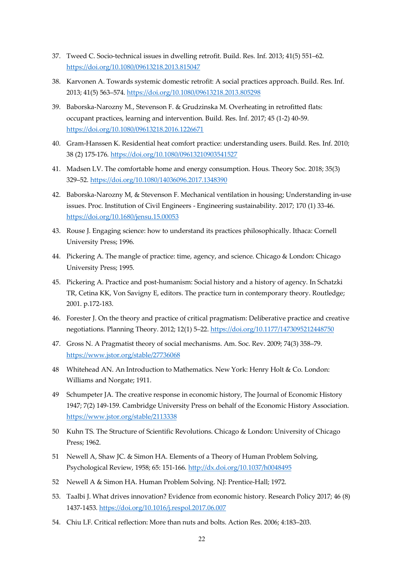- 37. Tweed C. Socio-technical issues in dwelling retrofit. Build. Res. Inf. 2013; 41(5) 551–62. https://doi.org/10.1080/09613218.2013.815047
- 38. Karvonen A. Towards systemic domestic retrofit: A social practices approach. Build. Res. Inf. 2013; 41(5) 563–574. https://doi.org/10.1080/09613218.2013.805298
- 39. Baborska-Narozny M., Stevenson F. & Grudzinska M. Overheating in retrofitted flats: occupant practices, learning and intervention. Build. Res. Inf. 2017; 45 (1-2) 40-59. https://doi.org/10.1080/09613218.2016.1226671
- 40. Gram-Hanssen K. Residential heat comfort practice: understanding users. Build. Res. Inf. 2010; 38 (2) 175-176. https://doi.org/10.1080/09613210903541527
- 41. Madsen LV. The comfortable home and energy consumption. Hous. Theory Soc. 2018; 35(3) 329–52. https://doi.org/10.1080/14036096.2017.1348390
- 42. Baborska-Narozny M, & Stevenson F. Mechanical ventilation in housing; Understanding in-use issues. Proc. Institution of Civil Engineers - Engineering sustainability. 2017; 170 (1) 33-46. https://doi.org/10.1680/jensu.15.00053
- 43. Rouse J. Engaging science: how to understand its practices philosophically. Ithaca: Cornell University Press; 1996.
- 44. Pickering A. The mangle of practice: time, agency, and science. Chicago & London: Chicago University Press; 1995.
- 45. Pickering A. Practice and post-humanism: Social history and a history of agency. In Schatzki TR, Cetina KK, Von Savigny E, editors. The practice turn in contemporary theory. Routledge; 2001. p.172-183.
- 46. Forester J. On the theory and practice of critical pragmatism: Deliberative practice and creative negotiations. Planning Theory. 2012; 12(1) 5–22. https://doi.org/10.1177/1473095212448750
- 47. Gross N. A Pragmatist theory of social mechanisms. Am. Soc. Rev. 2009; 74(3) 358–79. https://www.jstor.org/stable/27736068
- 48 Whitehead AN. An Introduction to Mathematics. New York: Henry Holt & Co. London: Williams and Norgate; 1911.
- 49 Schumpeter JA. The creative response in economic history, The Journal of Economic History 1947; 7(2) 149-159. Cambridge University Press on behalf of the Economic History Association. https://www.jstor.org/stable/2113338
- 50 Kuhn TS. The Structure of Scientific Revolutions. Chicago & London: University of Chicago Press; 1962.
- 51 Newell A, Shaw JC. & Simon HA. Elements of a Theory of Human Problem Solving, Psychological Review, 1958; 65: 151-166. http://dx.doi.org/10.1037/h0048495
- 52 Newell A & Simon HA. Human Problem Solving. NJ: Prentice-Hall; 1972.
- 53. Taalbi J. What drives innovation? Evidence from economic history. Research Policy 2017; 46 (8) 1437-1453. https://doi.org/10.1016/j.respol.2017.06.007
- 54. Chiu LF. Critical reflection: More than nuts and bolts. Action Res. 2006; 4:183–203.